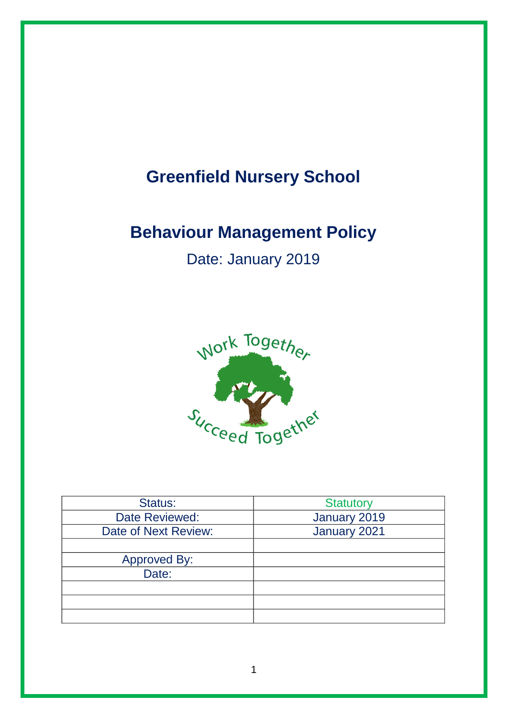# **Greenfield Nursery School**

# **Behaviour Management Policy**

Date: January 2019



| Status:               | <b>Statutory</b> |  |
|-----------------------|------------------|--|
| Date Reviewed:        | January 2019     |  |
| Date of Next Review:  | January 2021     |  |
|                       |                  |  |
| Approved By:<br>Date: |                  |  |
|                       |                  |  |
|                       |                  |  |
|                       |                  |  |
|                       |                  |  |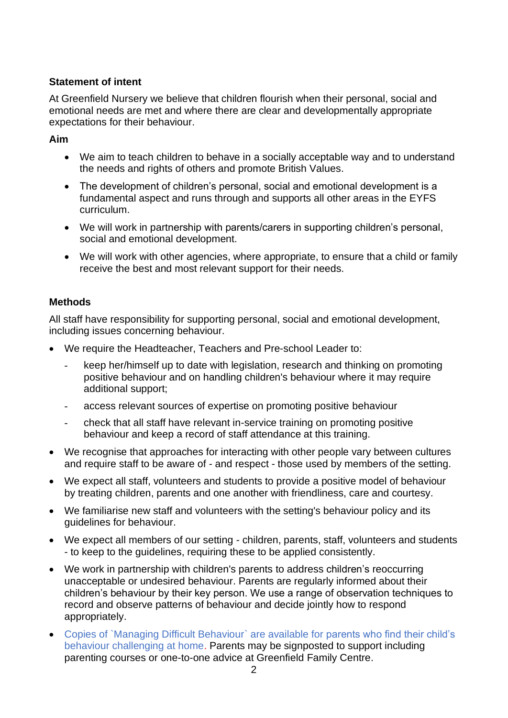### **Statement of intent**

At Greenfield Nursery we believe that children flourish when their personal, social and emotional needs are met and where there are clear and developmentally appropriate expectations for their behaviour.

#### **Aim**

- We aim to teach children to behave in a socially acceptable way and to understand the needs and rights of others and promote British Values.
- The development of children's personal, social and emotional development is a fundamental aspect and runs through and supports all other areas in the EYFS curriculum.
- We will work in partnership with parents/carers in supporting children's personal, social and emotional development.
- We will work with other agencies, where appropriate, to ensure that a child or family receive the best and most relevant support for their needs.

### **Methods**

All staff have responsibility for supporting personal, social and emotional development, including issues concerning behaviour.

- We require the Headteacher, Teachers and Pre-school Leader to:
	- keep her/himself up to date with legislation, research and thinking on promoting positive behaviour and on handling children's behaviour where it may require additional support;
	- access relevant sources of expertise on promoting positive behaviour
	- check that all staff have relevant in-service training on promoting positive behaviour and keep a record of staff attendance at this training.
- We recognise that approaches for interacting with other people vary between cultures and require staff to be aware of - and respect - those used by members of the setting.
- We expect all staff, volunteers and students to provide a positive model of behaviour by treating children, parents and one another with friendliness, care and courtesy.
- We familiarise new staff and volunteers with the setting's behaviour policy and its guidelines for behaviour.
- We expect all members of our setting children, parents, staff, volunteers and students - to keep to the guidelines, requiring these to be applied consistently.
- We work in partnership with children's parents to address children's reoccurring unacceptable or undesired behaviour. Parents are regularly informed about their children's behaviour by their key person. We use a range of observation techniques to record and observe patterns of behaviour and decide jointly how to respond appropriately.
- Copies of `Managing Difficult Behaviour` are available for parents who find their child's behaviour challenging at home. Parents may be signposted to support including parenting courses or one-to-one advice at Greenfield Family Centre.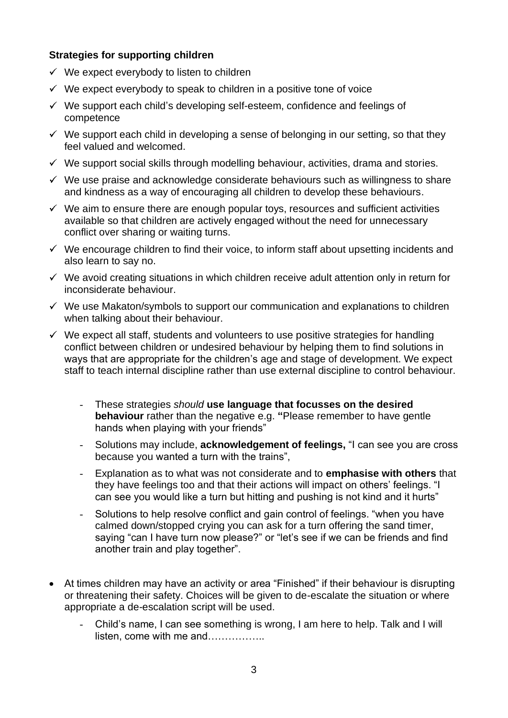#### **Strategies for supporting children**

- $\checkmark$  We expect everybody to listen to children
- $\checkmark$  We expect everybody to speak to children in a positive tone of voice
- $\checkmark$  We support each child's developing self-esteem, confidence and feelings of competence
- $\checkmark$  We support each child in developing a sense of belonging in our setting, so that they feel valued and welcomed.
- $\checkmark$  We support social skills through modelling behaviour, activities, drama and stories.
- $\checkmark$  We use praise and acknowledge considerate behaviours such as willingness to share and kindness as a way of encouraging all children to develop these behaviours.
- $\checkmark$  We aim to ensure there are enough popular toys, resources and sufficient activities available so that children are actively engaged without the need for unnecessary conflict over sharing or waiting turns.
- $\checkmark$  We encourage children to find their voice, to inform staff about upsetting incidents and also learn to say no.
- $\checkmark$  We avoid creating situations in which children receive adult attention only in return for inconsiderate behaviour.
- $\checkmark$  We use Makaton/symbols to support our communication and explanations to children when talking about their behaviour.
- $\checkmark$  We expect all staff, students and volunteers to use positive strategies for handling conflict between children or undesired behaviour by helping them to find solutions in ways that are appropriate for the children's age and stage of development. We expect staff to teach internal discipline rather than use external discipline to control behaviour.
	- These strategies *should* **use language that focusses on the desired behaviour** rather than the negative e.g. **"**Please remember to have gentle hands when playing with your friends"
	- Solutions may include, **acknowledgement of feelings,** "I can see you are cross because you wanted a turn with the trains",
	- Explanation as to what was not considerate and to **emphasise with others** that they have feelings too and that their actions will impact on others' feelings. "I can see you would like a turn but hitting and pushing is not kind and it hurts"
	- Solutions to help resolve conflict and gain control of feelings. "when you have calmed down/stopped crying you can ask for a turn offering the sand timer, saying "can I have turn now please?" or "let's see if we can be friends and find another train and play together".
- At times children may have an activity or area "Finished" if their behaviour is disrupting or threatening their safety. Choices will be given to de-escalate the situation or where appropriate a de-escalation script will be used.
	- Child's name, I can see something is wrong, I am here to help. Talk and I will listen, come with me and……………..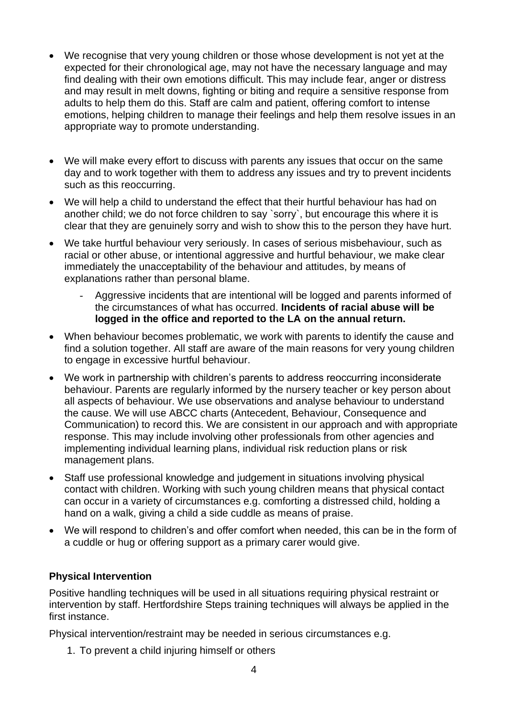- We recognise that very young children or those whose development is not yet at the expected for their chronological age, may not have the necessary language and may find dealing with their own emotions difficult. This may include fear, anger or distress and may result in melt downs, fighting or biting and require a sensitive response from adults to help them do this. Staff are calm and patient, offering comfort to intense emotions, helping children to manage their feelings and help them resolve issues in an appropriate way to promote understanding.
- We will make every effort to discuss with parents any issues that occur on the same day and to work together with them to address any issues and try to prevent incidents such as this reoccurring.
- We will help a child to understand the effect that their hurtful behaviour has had on another child; we do not force children to say `sorry`, but encourage this where it is clear that they are genuinely sorry and wish to show this to the person they have hurt.
- We take hurtful behaviour very seriously. In cases of serious misbehaviour, such as racial or other abuse, or intentional aggressive and hurtful behaviour, we make clear immediately the unacceptability of the behaviour and attitudes, by means of explanations rather than personal blame.
	- Aggressive incidents that are intentional will be logged and parents informed of the circumstances of what has occurred. **Incidents of racial abuse will be logged in the office and reported to the LA on the annual return.**
- When behaviour becomes problematic, we work with parents to identify the cause and find a solution together. All staff are aware of the main reasons for very young children to engage in excessive hurtful behaviour.
- We work in partnership with children's parents to address reoccurring inconsiderate behaviour. Parents are regularly informed by the nursery teacher or key person about all aspects of behaviour. We use observations and analyse behaviour to understand the cause. We will use ABCC charts (Antecedent, Behaviour, Consequence and Communication) to record this. We are consistent in our approach and with appropriate response. This may include involving other professionals from other agencies and implementing individual learning plans, individual risk reduction plans or risk management plans.
- Staff use professional knowledge and judgement in situations involving physical contact with children. Working with such young children means that physical contact can occur in a variety of circumstances e.g. comforting a distressed child, holding a hand on a walk, giving a child a side cuddle as means of praise.
- We will respond to children's and offer comfort when needed, this can be in the form of a cuddle or hug or offering support as a primary carer would give.

#### **Physical Intervention**

Positive handling techniques will be used in all situations requiring physical restraint or intervention by staff. Hertfordshire Steps training techniques will always be applied in the first instance.

Physical intervention/restraint may be needed in serious circumstances e.g.

1. To prevent a child injuring himself or others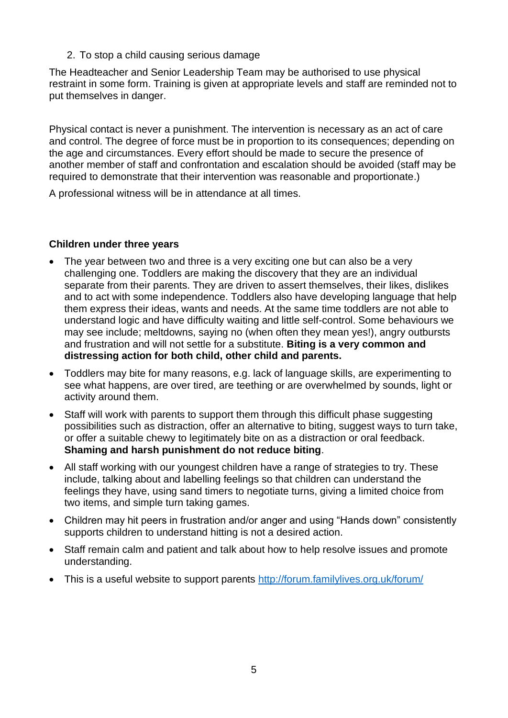2. To stop a child causing serious damage

The Headteacher and Senior Leadership Team may be authorised to use physical restraint in some form. Training is given at appropriate levels and staff are reminded not to put themselves in danger.

Physical contact is never a punishment. The intervention is necessary as an act of care and control. The degree of force must be in proportion to its consequences; depending on the age and circumstances. Every effort should be made to secure the presence of another member of staff and confrontation and escalation should be avoided (staff may be required to demonstrate that their intervention was reasonable and proportionate.)

A professional witness will be in attendance at all times.

#### **Children under three years**

- The year between two and three is a very exciting one but can also be a very challenging one. Toddlers are making the discovery that they are an individual separate from their parents. They are driven to assert themselves, their likes, dislikes and to act with some independence. Toddlers also have developing language that help them express their ideas, wants and needs. At the same time toddlers are not able to understand logic and have difficulty waiting and little self-control. Some behaviours we may see include; meltdowns, saying no (when often they mean yes!), angry outbursts and frustration and will not settle for a substitute. **Biting is a very common and distressing action for both child, other child and parents.**
- Toddlers may bite for many reasons, e.g. lack of language skills, are experimenting to see what happens, are over tired, are teething or are overwhelmed by sounds, light or activity around them.
- Staff will work with parents to support them through this difficult phase suggesting possibilities such as distraction, offer an alternative to biting, suggest ways to turn take, or offer a suitable chewy to legitimately bite on as a distraction or oral feedback. **Shaming and harsh punishment do not reduce biting**.
- All staff working with our youngest children have a range of strategies to try. These include, talking about and labelling feelings so that children can understand the feelings they have, using sand timers to negotiate turns, giving a limited choice from two items, and simple turn taking games.
- Children may hit peers in frustration and/or anger and using "Hands down" consistently supports children to understand hitting is not a desired action.
- Staff remain calm and patient and talk about how to help resolve issues and promote understanding.
- This is a useful website to support parents<http://forum.familylives.org.uk/forum/>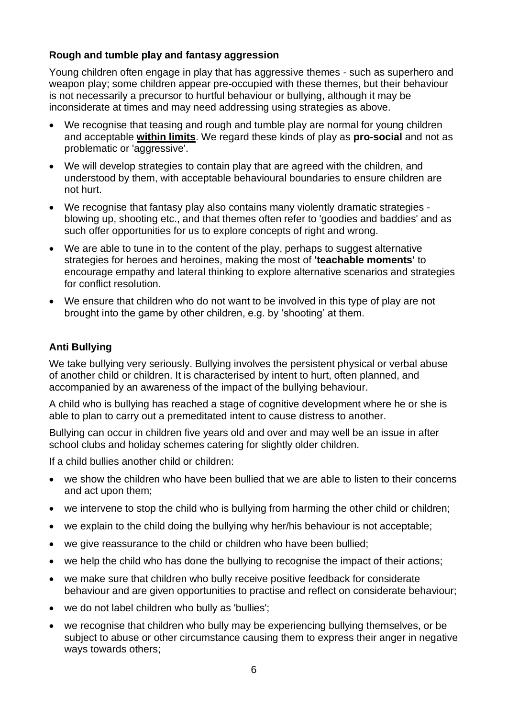#### **Rough and tumble play and fantasy aggression**

Young children often engage in play that has aggressive themes - such as superhero and weapon play; some children appear pre-occupied with these themes, but their behaviour is not necessarily a precursor to hurtful behaviour or bullying, although it may be inconsiderate at times and may need addressing using strategies as above.

- We recognise that teasing and rough and tumble play are normal for young children and acceptable **within limits**. We regard these kinds of play as **pro-social** and not as problematic or 'aggressive'.
- We will develop strategies to contain play that are agreed with the children, and understood by them, with acceptable behavioural boundaries to ensure children are not hurt.
- We recognise that fantasy play also contains many violently dramatic strategies blowing up, shooting etc., and that themes often refer to 'goodies and baddies' and as such offer opportunities for us to explore concepts of right and wrong.
- We are able to tune in to the content of the play, perhaps to suggest alternative strategies for heroes and heroines, making the most of **'teachable moments'** to encourage empathy and lateral thinking to explore alternative scenarios and strategies for conflict resolution.
- We ensure that children who do not want to be involved in this type of play are not brought into the game by other children, e.g. by 'shooting' at them.

### **Anti Bullying**

We take bullying very seriously. Bullying involves the persistent physical or verbal abuse of another child or children. It is characterised by intent to hurt, often planned, and accompanied by an awareness of the impact of the bullying behaviour.

A child who is bullying has reached a stage of cognitive development where he or she is able to plan to carry out a premeditated intent to cause distress to another.

Bullying can occur in children five years old and over and may well be an issue in after school clubs and holiday schemes catering for slightly older children.

If a child bullies another child or children:

- we show the children who have been bullied that we are able to listen to their concerns and act upon them;
- we intervene to stop the child who is bullying from harming the other child or children;
- we explain to the child doing the bullying why her/his behaviour is not acceptable;
- we give reassurance to the child or children who have been bullied;
- we help the child who has done the bullying to recognise the impact of their actions;
- we make sure that children who bully receive positive feedback for considerate behaviour and are given opportunities to practise and reflect on considerate behaviour;
- we do not label children who bully as 'bullies';
- we recognise that children who bully may be experiencing bullying themselves, or be subject to abuse or other circumstance causing them to express their anger in negative ways towards others;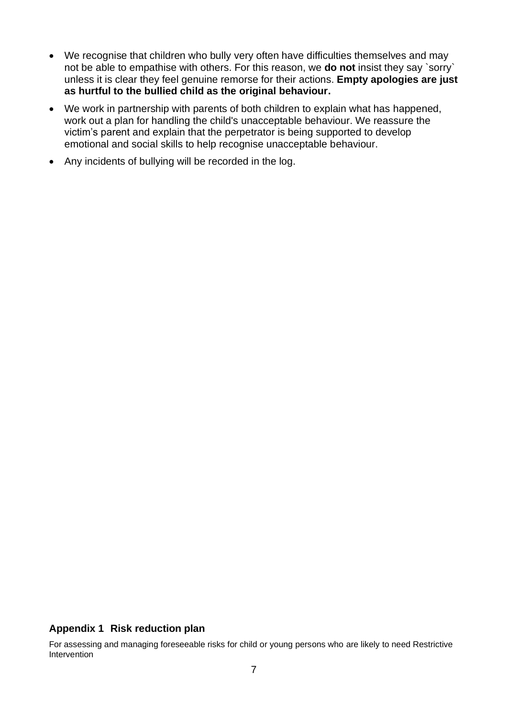- We recognise that children who bully very often have difficulties themselves and may not be able to empathise with others. For this reason, we **do not** insist they say `sorry` unless it is clear they feel genuine remorse for their actions. **Empty apologies are just as hurtful to the bullied child as the original behaviour.**
- We work in partnership with parents of both children to explain what has happened, work out a plan for handling the child's unacceptable behaviour. We reassure the victim's parent and explain that the perpetrator is being supported to develop emotional and social skills to help recognise unacceptable behaviour.
- Any incidents of bullying will be recorded in the log.

#### **Appendix 1 Risk reduction plan**

For assessing and managing foreseeable risks for child or young persons who are likely to need Restrictive Intervention